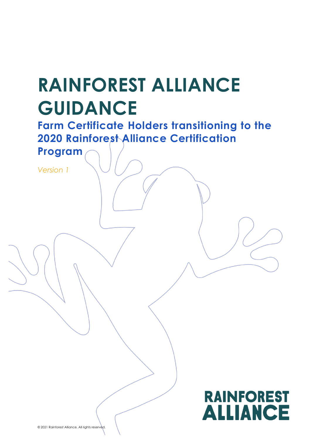# **RAINFOREST ALLIANCE GUIDANCE**

**Farm Certificate Holders transitioning to the 2020 Rainforest Alliance Certification** 

**Program**

*Version 1*

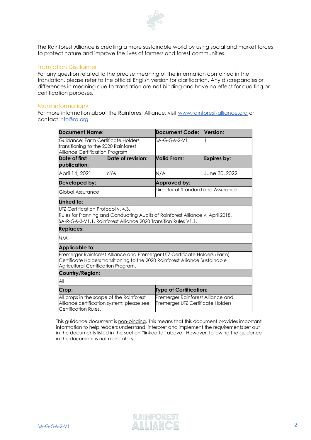

The Rainforest Alliance is creating a more sustainable world by using social and market forces to protect nature and improve the lives of farmers and forest communities.

### Translation Disclaimer

For any question related to the precise meaning of the information contained in the translation, please refer to the official English version for clarification. Any discrepancies or differences in meaning due to translation are not binding and have no effect for auditing or certification purposes.

#### More information?

For more information about the Rainforest Alliance, visit [www.rainforest-alliance.org](http://www.rainforest-alliance.org/) or contact [info@ra.org](mailto:info@ra.org)

| <b>Document Name:</b>                                                                                                      |                   | <b>Document Code:</b>                                                                                                                                       | Version:           |  |
|----------------------------------------------------------------------------------------------------------------------------|-------------------|-------------------------------------------------------------------------------------------------------------------------------------------------------------|--------------------|--|
| Guidance: Farm Certificate Holders<br>transitioning to the 2020 Rainforest<br>Alliance Certification Program               |                   | SA-G-GA-2-V1                                                                                                                                                |                    |  |
| Date of first<br>publication:                                                                                              | Date of revision: | Valid From:                                                                                                                                                 | <b>Expires by:</b> |  |
| April 14, 2021                                                                                                             | N/A               | N/A                                                                                                                                                         | June 30, 2022      |  |
| Developed by:                                                                                                              |                   | Approved by:                                                                                                                                                |                    |  |
| Global Assurance                                                                                                           |                   | Director of Standard and Assurance                                                                                                                          |                    |  |
| Linked to:                                                                                                                 |                   |                                                                                                                                                             |                    |  |
| UTZ Certification Protocol v. 4.3.<br>\$A-R-GA-3-V1.1. Rainforest Alliance 2020 Transition Rules V1.1.<br><b>Replaces:</b> |                   | Rules for Planning and Conducting Audits of Rainforest Alliance v. April 2018.                                                                              |                    |  |
| N/A                                                                                                                        |                   |                                                                                                                                                             |                    |  |
| <b>Applicable to:</b>                                                                                                      |                   |                                                                                                                                                             |                    |  |
| Agricultural Certification Program.                                                                                        |                   | Premerger Rainforest Alliance and Premerger UTZ Certificate Holders (Farm)<br>Certificate Holders transitioning to the 2020 Rainforest Alliance Sustainable |                    |  |
| Country/Region:                                                                                                            |                   |                                                                                                                                                             |                    |  |
| All                                                                                                                        |                   |                                                                                                                                                             |                    |  |
| Crop:                                                                                                                      |                   | <b>Type of Certification:</b>                                                                                                                               |                    |  |
| All crops in the scope of the Rainforest<br>Alliance certification system; please see<br>Certification Rules.              |                   | Premerger Rainforest Alliance and<br>Premerger UTZ Certificate Holders                                                                                      |                    |  |

This guidance document is non-binding. This means that this document provides important information to help readers understand, interpret and implement the requirements set out in the documents listed in the section "linked to" above. However, following the guidance in this document is not mandatory.

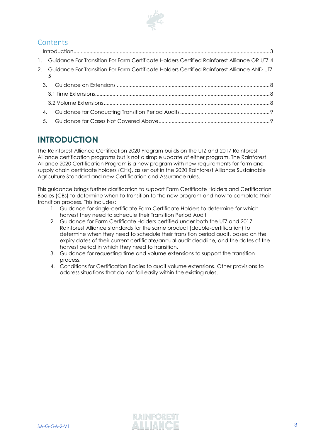

## **Contents**

|               | Introduction 3                                                                                |  |
|---------------|-----------------------------------------------------------------------------------------------|--|
|               | Guidance For Transition For Farm Certificate Holders Certified Rainforest Alliance OR UTZ 4   |  |
| 5             | 2. Guidance For Transition For Farm Certificate Holders Certified Rainforest Alliance AND UTZ |  |
| $\mathcal{R}$ |                                                                                               |  |
|               |                                                                                               |  |
|               |                                                                                               |  |
| 4.            |                                                                                               |  |
| 5.            |                                                                                               |  |

# <span id="page-2-0"></span>**INTRODUCTION**

The Rainforest Alliance Certification 2020 Program builds on the UTZ and 2017 Rainforest Alliance certification programs but is not a simple update of either program. The Rainforest Alliance 2020 Certification Program is a new program with new requirements for farm and supply chain certificate holders (CHs), as set out in the 2020 Rainforest Alliance Sustainable Agriculture Standard and new Certification and Assurance rules.

This guidance brings further clarification to support Farm Certificate Holders and Certification Bodies (CBs) to determine when to transition to the new program and how to complete their transition process. This includes:

- 1. Guidance for single-certificate Farm Certificate Holders to determine for which harvest they need to schedule their Transition Period Audit
- 2. Guidance for Farm Certificate Holders certified under both the UTZ and 2017 Rainforest Alliance standards for the same product (double-certification) to determine when they need to schedule their transition period audit, based on the expiry dates of their current certificate/annual audit deadline, and the dates of the harvest period in which they need to transition.
- 3. Guidance for requesting time and volume extensions to support the transition process.
- 4. Conditions for Certification Bodies to audit volume extensions. Other provisions to address situations that do not fall easily within the existing rules.

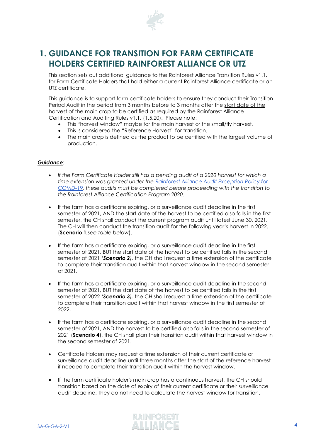

# <span id="page-3-0"></span>**1. GUIDANCE FOR TRANSITION FOR FARM CERTIFICATE HOLDERS CERTIFIED RAINFOREST ALLIANCE OR UTZ**

This section sets out additional guidance to the Rainforest Alliance Transition Rules v1.1. for Farm Certificate Holders that hold either a current Rainforest Alliance certificate or an UTZ certificate.

This guidance is to support farm certificate holders to ensure they conduct their Transition Period Audit in the period from 3 months before to 3 months after the start date of the harvest of the main crop to be certified as required by the Rainforest Alliance Certification and Auditing Rules v1.1. (1.5.20). Please note:

- This "harvest window" maybe for the main harvest or the small/fly harvest*.*
- This is considered the "Reference Harvest" for transition.
- The main crop is defined as the product to be certified with the largest volume of production.

### *Guidance:*

- *If the Farm Certificate Holder still has a pending audit of a 2020 harvest for which a time extension was granted under the [Rainforest Alliance Audit Exception Policy](https://www.rainforest-alliance.org/business/pt-br/resource-item/politica-de-excecao-em-auditorias-pela-covid-19/) for [COVID-19,](https://www.rainforest-alliance.org/business/pt-br/resource-item/politica-de-excecao-em-auditorias-pela-covid-19/) these audits must be completed before proceeding with the transition to the Rainforest Alliance Certification Program 2020.*
- If the farm has a certificate expiring, or a surveillance audit deadline in the first semester of 2021, AND the start date of the harvest to be certified also falls in the first semester, the CH shall *conduct* the current program audit until latest June 30, 2021. The CH will then conduct the transition audit for the following year's harvest in 2022. (**Scenario 1,***see table below*).
- If the farm has a certificate expiring, or a surveillance audit deadline in the first semester of 2021, BUT the start date of the harvest to be certified falls in the second semester of 2021 *(Scenario 2),* the CH shall request a time extension of the certificate to complete their transition audit within that harvest window in the second semester of 2021.
- If the farm has a certificate expiring, or a surveillance audit deadline in the second semester of 2021, BUT the start date of the harvest to be certified falls in the first semester of 2022 *(Scenario 3),* the CH shall request a time extension of the certificate to complete their transition audit within that harvest window in the first semester of 2022**.**
- If the farm has a certificate expiring, or a surveillance audit deadline in the second semester of 2021, AND the harvest to be certified also falls in the second semester of 2021 (**Scenario 4**), the CH shall plan their transition audit within that harvest window in the second semester of 2021.
- Certificate Holders may request a time extension of their current certificate or surveillance audit deadline until three months after the start of the reference harvest if needed to complete their transition audit within the harvest window.
- If the farm certificate holder's main crop has a continuous harvest, the CH should transition based on the date of expiry of their current certificate or their surveillance audit deadline. They do not need to calculate the harvest window for transition.

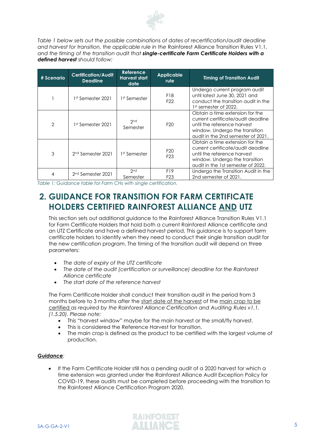

*Table 1 below sets out the possible combinations of dates of recertification/audit deadline and harvest for transition, the applicable rule in the* Rainforest Alliance Transition Rules V1.1, *and the timing of the transition audit that single-certificate Farm Certificate Holders with a defined harvest should follow:*

| # Scenario                    | <b>Certification/Audit</b><br><b>Deadline</b> | Reference<br><b>Harvest start</b><br>date | <b>Applicable</b><br><b>rule</b>   | <b>Timing of Transition Audit</b>                                                                                                                                            |
|-------------------------------|-----------------------------------------------|-------------------------------------------|------------------------------------|------------------------------------------------------------------------------------------------------------------------------------------------------------------------------|
|                               | 1st Semester 2021                             | 1st Semester                              | F18<br>F <sub>22</sub>             | Undergo current program audit<br>until latest June 30, 2021 and<br>conduct the transition audit in the<br>1st semester of 2022.                                              |
| $\overline{2}$                | 1st Semester 2021                             | 2 <sub>nd</sub><br>Semester               | F <sub>20</sub>                    | Obtain a time extension for the<br>current certificate/audit deadline<br>until the reference harvest<br>window. Undergo the transition<br>audit in the 2nd semester of 2021. |
| 3                             | 2 <sup>nd</sup> Semester 2021                 | 1st Semester                              | F <sub>20</sub><br>F <sub>23</sub> | Obtain a time extension for the<br>current certificate/audit deadline<br>until the reference harvest<br>window. Undergo the transition<br>audit in the 1st semester of 2022. |
| 2 <sup>nd</sup> Semester 2021 |                                               | 2 <sub>nd</sub><br>Semester               | F19<br>F <sub>23</sub>             | Undergo the Transition Audit in the<br>2nd semester of 2021.                                                                                                                 |

*Table 1: Guidance table for Farm CHs with single certification.*

# <span id="page-4-0"></span>**2. GUIDANCE FOR TRANSITION FOR FARM CERTIFICATE HOLDERS CERTIFIED RAINFOREST ALLIANCE AND UTZ**

This section sets out additional guidance to the Rainforest Alliance Transition Rules V1.1 for Farm Certificate Holders that hold both a current Rainforest Alliance certificate and an UTZ Certificate and have a defined harvest period. This guidance is to support farm certificate holders to identify when they need to conduct their single transition audit for the new certification program. The timing of the transition audit will depend on three parameters:

- *The date of expiry of the UTZ certificate*
- *The date of the audit (certification or surveillance) deadline for the Rainforest Alliance certificate*
- *The start date of the reference harvest*

The Farm Certificate Holder shall conduct their transition audit in the period from 3 months before to 3 months after the start date of the harvest of the main crop to be certified *as required by the Rainforest Alliance Certification and Auditing Rules v1.1. (1.5.20). Please note:*

- This "harvest window" maybe for the main harvest or the small/fly harvest*.*
- This is considered the Reference Harvest for transition.
- The main crop is defined as the product to be certified with the largest volume of production.

### *Guidance:*

If the Farm Certificate Holder still has a pending audit of a 2020 harvest for which a time extension was granted under the Rainforest Alliance Audit Exception Policy for COVID-19, these audits must be completed before proceeding with the transition to the Rainforest Alliance Certification Program 2020.

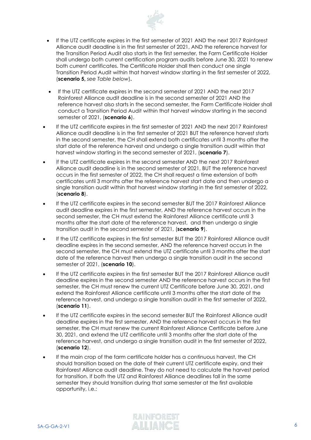

- If the UTZ certificate expires in the first semester of 2021 AND the next 2017 Rainforest Alliance audit deadline is in the first semester of 2021, AND the reference harvest for the Transition Period Audit also starts in the first semester, the Farm Certificate Holder shall undergo both current certification program audits before June 30, 2021 to renew both current certificates. The Certificate Holder shall then conduct one single Transition Period Audit within that harvest window starting in the first semester of 2022, (**scenario 5,** *see Table below*)**.**
- If the UTZ certificate expires in the second semester of 2021 AND the next 2017 Rainforest Alliance audit deadline is in the second semester of 2021 AND the reference harvest also starts in the second semester, the Farm Certificate Holder shall conduct a Transition Period Audit within that harvest window starting in the second semester of 2021, (**scenario 6**).
- If the UTZ certificate expires in the first semester of 2021 AND the next 2017 Rainforest Alliance audit deadline is in the first semester of 2021 BUT the reference harvest starts in the second semester, the CH shall extend both certificates until 3 months after the start date of the reference harvest and undergo a single transition audit within that harvest window starting in the second semester of 2021, (**scenario 7**).
- If the UTZ certificate expires in the second semester AND the next 2017 Rainforest Alliance audit deadline is in the second semester of 2021, BUT the reference harvest occurs in the first semester of 2022, the CH shall request a time extension of both certificates until 3 months after the reference harvest start date and then undergo a single transition audit within that harvest window starting in the first semester of 2022, (**scenario 8**).
- If the UTZ certificate expires in the second semester BUT the 2017 Rainforest Alliance audit deadline expires in the first semester, AND the reference harvest occurs in the second semester, the CH must extend the Rainforest Alliance certificate until 3 months after the start date of the reference harvest, and then undergo a single transition audit in the second semester of 2021, (**scenario 9**).
- If the UTZ certificate expires in the first semester BUT the 2017 Rainforest Alliance audit deadline expires in the second semester, AND the reference harvest occurs in the second semester, the CH must extend the UTZ certificate until 3 months after the start date of the reference harvest then undergo a single transition audit in the second semester of 2021, (**scenario 10**).
- If the UTZ certificate expires in the first semester BUT the 2017 Rainforest Alliance audit deadline expires in the second semester AND the reference harvest occurs in the first semester, the CH must renew the current UTZ Certificate before June 30, 2021, and extend the Rainforest Alliance certificate until 3 months after the start date of the reference harvest, and undergo a single transition audit in the first semester of 2022, (**scenario 11**).
- If the UTZ certificate expires in the second semester BUT the Rainforest Alliance audit deadline expires in the first semester, AND the reference harvest occurs in the first semester, the CH must renew the current Rainforest Alliance Certificate before June 30, 2021, and extend the UTZ certificate until 3 months after the start date of the reference harvest, and undergo a single transition audit in the first semester of 2022, (**scenario 12**).
- If the main crop of the farm certificate holder has a continuous harvest, the CH should transition based on the date of their current UTZ certificate expiry, and their Rainforest Alliance audit deadline. They do not need to calculate the harvest period for transition. If both the UTZ and Rainforest Alliance deadlines fall in the same semester they should transition during that same semester at the first available opportunity, i.e.:

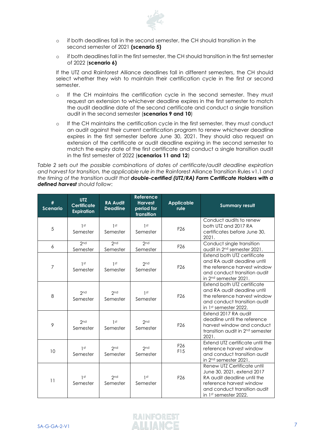

- o if both deadlines fall in the second semester, the CH should transition in the second semester of 2021 **(scenario 5)**
- o if both deadlines fall in the first semester, the CH should transition in the first semester of 2022 (**scenario 6)**

If the UTZ and Rainforest Alliance deadlines fall in different semesters, the CH should select whether they wish to maintain their certification cycle in the first or second semester.

- o If the CH maintains the certification cycle in the second semester. They must request an extension to whichever deadline expires in the first semester to match the audit deadline date of the second certificate and conduct a single transition audit in the second semester (**scenarios 9 and 10**)
- o If the CH maintains the certification cycle in the first semester, they must conduct an audit against their current certification program to renew whichever deadline expires in the first semester before June 30, 2021. They should also request an extension of the certificate or audit deadline expiring in the second semester to match the expiry date of the first certificate and conduct a single transition audit in the first semester of 2022 (**scenarios 11 and 12**)

*Table 2 sets out the possible combinations of dates of certificate/audit deadline expiration and harvest for transition, the applicable rule in the* Rainforest Alliance Transition Rules v1.1 *and the timing of the transition audit that double-certified (UTZ/RA) Farm Certificate Holders with a defined harvest should follow*:

| #<br><b>Scenario</b> | <b>UTZ</b><br><b>Certificate</b><br><b>Expiration</b> | <b>RA Audit</b><br><b>Deadline</b> | <b>Reference</b><br><b>Harvest</b><br>period for<br>transition | <b>Applicable</b><br>rule | <b>Summary result</b>                                                                                                                                                                     |
|----------------------|-------------------------------------------------------|------------------------------------|----------------------------------------------------------------|---------------------------|-------------------------------------------------------------------------------------------------------------------------------------------------------------------------------------------|
| 5                    | 1 <sup>st</sup><br>Semester                           | 1 <sup>st</sup><br>Semester        | 1 <sup>st</sup><br>Semester                                    | F <sub>26</sub>           | Conduct audits to renew<br>both UTZ and 2017 RA<br>certificates before June 30,<br>2021.                                                                                                  |
| 6                    | 2 <sub>nd</sub><br>Semester                           | 2 <sub>nd</sub><br>Semester        | 2 <sub>nd</sub><br>Semester                                    | F <sub>26</sub>           | Conduct single transition<br>audit in 2 <sup>nd</sup> semester 2021.                                                                                                                      |
| 7                    | 1 <sup>st</sup><br>Semester                           | 1 <sup>st</sup><br>Semester        | 2 <sub>nd</sub><br>Semester                                    | F <sub>26</sub>           | Extend both UTZ certificate<br>and RA audit deadline until<br>the reference harvest window<br>and conduct transition audit<br>in 2 <sup>nd</sup> semester 2021.                           |
| 8                    | 2 <sub>nd</sub><br>Semester                           | 2 <sub>nd</sub><br>Semester        | 1 <sup>st</sup><br>Semester                                    | F <sub>26</sub>           | Extend both UTZ certificate<br>and RA audit deadline until<br>the reference harvest window<br>and conduct transition audit<br>in 1 <sup>st</sup> semester 2022.                           |
| 9                    | 2nd<br>Semester                                       | 1st<br>Semester                    | 2 <sub>nd</sub><br>Semester                                    | F <sub>26</sub>           | Extend 2017 RA audit<br>deadline until the reference<br>harvest window and conduct<br>transition audit in 2 <sup>nd</sup> semester<br>2021.                                               |
| 10                   | 1 <sup>st</sup><br>Semester                           | 2 <sub>nd</sub><br>Semester        | 2 <sub>nd</sub><br>Semester                                    | F <sub>26</sub><br>F15    | Extend UTZ certificate until the<br>reference harvest window<br>and conduct transition audit<br>in 2 <sup>nd</sup> semester 2021.                                                         |
| 11                   | 1 <sup>st</sup><br>Semester                           | 2 <sub>nd</sub><br>Semester        | 1 <sup>st</sup><br>Semester                                    | F <sub>26</sub>           | Renew UTZ Certificate until<br>June 30, 2021, extend 2017<br>RA audit deadline until the<br>reference harvest window<br>and conduct transition audit<br>in 1 <sup>st</sup> semester 2022. |

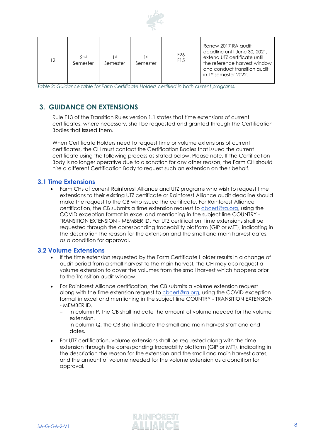

| 12 | 2 <sub>nd</sub><br>Semester | 1 st<br>Semester | 1 st<br>Semester | F <sub>26</sub><br>F <sub>15</sub> | Renew 2017 RA audit<br>deadline until June 30, 2021,<br>extend UTZ certificate until<br>the reference harvest window<br>and conduct transition audit<br>in 1 <sup>st</sup> semester 2022. |
|----|-----------------------------|------------------|------------------|------------------------------------|-------------------------------------------------------------------------------------------------------------------------------------------------------------------------------------------|
|----|-----------------------------|------------------|------------------|------------------------------------|-------------------------------------------------------------------------------------------------------------------------------------------------------------------------------------------|

*Table 2: Guidance table for Farm Certificate Holders certified in both current programs.*

## <span id="page-7-0"></span>**3. GUIDANCE ON EXTENSIONS**

Rule F13 of the Transition Rules version 1.1 states that time extensions of current certificates, where necessary, shall be requested and granted through the Certification Bodies that issued them.

When Certificate Holders need to request time or volume extensions of current certificates, the CH must contact the Certification Bodies that issued the current certificate using the following process as stated below. Please note, If the Certification Body is no longer operative due to a sanction for any other reason, the Farm CH should hire a different Certification Body to request such an extension on their behalf.

## <span id="page-7-1"></span>**3.1 Time Extensions**

• Farm CHs of current Rainforest Alliance and UTZ programs who wish to request time extensions to their existing UTZ certificate or Rainforest Alliance audit deadline should make the request to the CB who issued the certificate. For Rainforest Alliance certification, the CB submits a time extension request to [cbcert@ra.org,](mailto:cbcert@ra.org) using the COVID exception format in excel and mentioning in the subject line COUNTRY - TRANSITION EXTENSION - MEMBER ID. For UTZ certification, time extensions shall be requested through the corresponding traceability platform (GIP or MTT), indicating in the description the reason for the extension and the small and main harvest dates, as a condition for approval.

## <span id="page-7-2"></span>**3.2 Volume Extensions**

- If the time extension requested by the Farm Certificate Holder results in a change of audit period from a small harvest to the main harvest, the CH may also request a volume extension to cover the volumes from the small harvest which happens prior to the Transition audit window.
- For Rainforest Alliance certification, the CB submits a volume extension request along with the time extension request to [cbcert@ra.org,](mailto:cbcert@ra.org) using the COVID exception format in excel and mentioning in the subject line COUNTRY - TRANSITION EXTENSION - MEMBER ID.
	- In column P, the CB shall indicate the amount of volume needed for the volume extension.
	- $\sim$  In column Q, the CB shall indicate the small and main harvest start and end dates.
- For UTZ certification, volume extensions shall be requested along with the time extension through the corresponding traceability platform (GIP or MTT), indicating in the description the reason for the extension and the small and main harvest dates, and the amount of volume needed for the volume extension as a condition for approval.